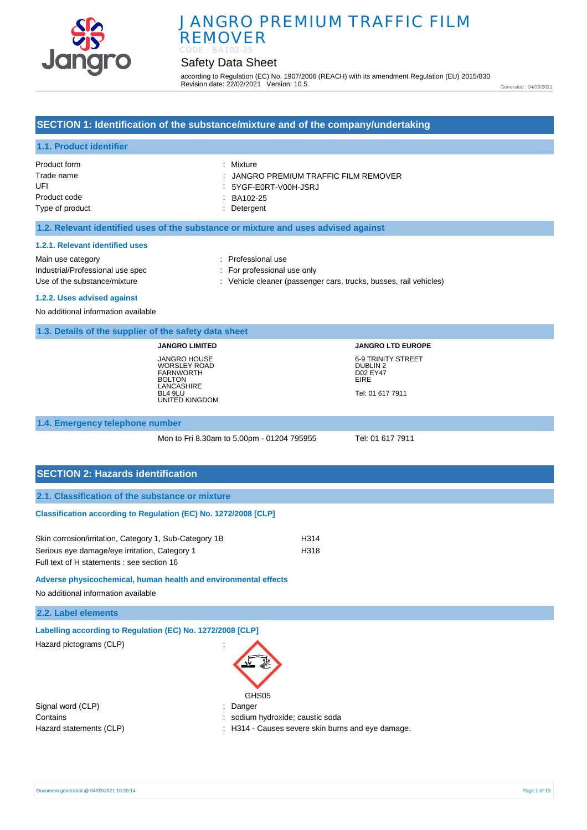

# Safety Data Sheet

according to Regulation (EC) No. 1907/2006 (REACH) with its amendment Regulation (EU) 2015/830 Revision date: 22/02/2021 Version: 10.5

Generated : 04/03/2021

## **SECTION 1: Identification of the substance/mixture and of the company/undertaking**

## **1.1. Product identifier**

| : Mixture                             |
|---------------------------------------|
| : JANGRO PREMIUM TRAFFIC FILM REMOVER |
| 5YGF-E0RT-V00H-JSRJ                   |
| BA102-25                              |
| : Detergent                           |
|                                       |

### **1.2. Relevant identified uses of the substance or mixture and uses advised against**

#### **1.2.1. Relevant identified uses**

Main use category **Example 20** and 20 and 20 and 20 and 20 and 20 and 20 and 20 and 20 and 20 and 20 and 20 and 20 and 20 and 20 and 20 and 20 and 20 and 20 and 20 and 20 and 20 and 20 and 20 and 20 and 20 and 20 and 20 an Industrial/Professional use spec : For professional use only

Use of the substance/mixture in the substance of the substance of the substance of the substance of the substance of the substance of the substance of the substance of the substance of the substance of the substance of the

#### **1.2.2. Uses advised against**

No additional information available

### **1.3. Details of the supplier of the safety data sheet**

**JANGRO LIMITED** JANGRO HOUSE WORSLEY ROAD FARNWORTH BOLTON LANCASHIRE BL4 9LU UNITED KINGDOM

# **JANGRO LTD EUROPE** 6-9 TRINITY STREET DUBLIN 2 D02 EY47 EIRE Tel: 01 617 7911

#### **1.4. Emergency telephone number**

Mon to Fri 8.30am to 5.00pm - 01204 795955 Tel: 01 617 7911

# **SECTION 2: Hazards identification**

## **Classification according to Regulation (EC) No. 1272/2008 [CLP]**

| Skin corrosion/irritation, Category 1, Sub-Category 1B | H314 |
|--------------------------------------------------------|------|
| Serious eye damage/eye irritation, Category 1          | H318 |
| Full text of H statements : see section 16             |      |

**Adverse physicochemical, human health and environmental effects** 

No additional information available

| 2.2. Label elements |  |
|---------------------|--|
|---------------------|--|

| Labelling according to Regulation (EC) No. 1272/2008 [CLP] |                 |
|------------------------------------------------------------|-----------------|
| Hazard pictograms (CLP)                                    | <b>FEW READ</b> |
|                                                            |                 |

GHS<sub>05</sub>

Contains : sodium hydroxide; caustic soda

Hazard statements (CLP)  $\qquad \qquad$ : H314 - Causes severe skin burns and eye damage.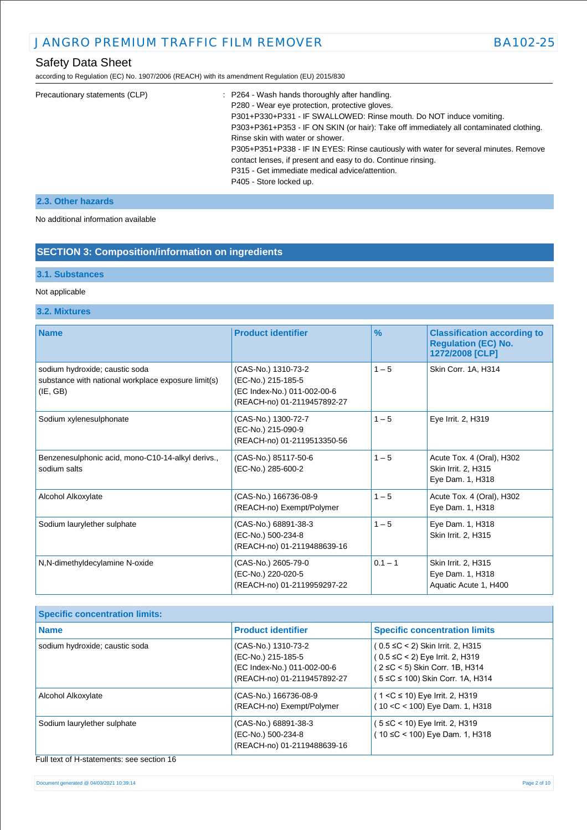according to Regulation (EC) No. 1907/2006 (REACH) with its amendment Regulation (EU) 2015/830

| Precautionary statements (CLP) | : P264 - Wash hands thoroughly after handling.                                         |
|--------------------------------|----------------------------------------------------------------------------------------|
|                                | P280 - Wear eye protection, protective gloves.                                         |
|                                | P301+P330+P331 - IF SWALLOWED: Rinse mouth. Do NOT induce vomiting.                    |
|                                | P303+P361+P353 - IF ON SKIN (or hair): Take off immediately all contaminated clothing. |
|                                | Rinse skin with water or shower.                                                       |
|                                | P305+P351+P338 - IF IN EYES: Rinse cautiously with water for several minutes. Remove   |
|                                | contact lenses, if present and easy to do. Continue rinsing.                           |
|                                | P315 - Get immediate medical advice/attention.                                         |
|                                | P405 - Store locked up.                                                                |
|                                |                                                                                        |

## **2.3. Other hazards**

No additional information available

# **SECTION 3: Composition/information on ingredients**

### **3.1. Substances**

### Not applicable

## **3.2. Mixtures**

| <b>Name</b>                                                                                       | <b>Product identifier</b>                                                                               | $\frac{9}{6}$ | <b>Classification according to</b><br><b>Regulation (EC) No.</b><br>1272/2008 [CLP] |
|---------------------------------------------------------------------------------------------------|---------------------------------------------------------------------------------------------------------|---------------|-------------------------------------------------------------------------------------|
| sodium hydroxide; caustic soda<br>substance with national workplace exposure limit(s)<br>(IE, GB) | (CAS-No.) 1310-73-2<br>(EC-No.) 215-185-5<br>(EC Index-No.) 011-002-00-6<br>(REACH-no) 01-2119457892-27 | $1 - 5$       | Skin Corr. 1A, H314                                                                 |
| Sodium xylenesulphonate                                                                           | (CAS-No.) 1300-72-7<br>(EC-No.) 215-090-9<br>(REACH-no) 01-2119513350-56                                | $1 - 5$       | Eye Irrit. 2, H319                                                                  |
| Benzenesulphonic acid, mono-C10-14-alkyl derivs.,<br>sodium salts                                 | (CAS-No.) 85117-50-6<br>(EC-No.) 285-600-2                                                              | $1 - 5$       | Acute Tox. 4 (Oral), H302<br>Skin Irrit. 2, H315<br>Eye Dam. 1, H318                |
| Alcohol Alkoxylate                                                                                | (CAS-No.) 166736-08-9<br>(REACH-no) Exempt/Polymer                                                      | $1 - 5$       | Acute Tox. 4 (Oral), H302<br>Eye Dam. 1, H318                                       |
| Sodium laurylether sulphate                                                                       | (CAS-No.) 68891-38-3<br>(EC-No.) 500-234-8<br>(REACH-no) 01-2119488639-16                               | $1 - 5$       | Eye Dam. 1, H318<br>Skin Irrit. 2, H315                                             |
| N,N-dimethyldecylamine N-oxide                                                                    | (CAS-No.) 2605-79-0<br>(EC-No.) 220-020-5<br>(REACH-no) 01-2119959297-22                                | $0.1 - 1$     | Skin Irrit. 2, H315<br>Eye Dam. 1, H318<br>Aquatic Acute 1, H400                    |

| <b>Specific concentration limits:</b> |                                                                                                         |                                                                                                                                                |
|---------------------------------------|---------------------------------------------------------------------------------------------------------|------------------------------------------------------------------------------------------------------------------------------------------------|
| <b>Name</b>                           | <b>Product identifier</b>                                                                               | <b>Specific concentration limits</b>                                                                                                           |
| sodium hydroxide; caustic soda        | (CAS-No.) 1310-73-2<br>(EC-No.) 215-185-5<br>(EC Index-No.) 011-002-00-6<br>(REACH-no) 01-2119457892-27 | $(0.5 \leq C < 2)$ Skin Irrit. 2, H315<br>(0.5 ≤C < 2) Eye Irrit. 2, H319<br>(2 ≤C < 5) Skin Corr. 1B, H314<br>5 ≤C ≤ 100) Skin Corr. 1A, H314 |
| Alcohol Alkoxylate                    | (CAS-No.) 166736-08-9<br>(REACH-no) Exempt/Polymer                                                      | ( 1 <c 10)="" 2,="" eye="" h319<br="" irrit.="" ≤="">(10 &lt; C &lt; 100) Eye Dam. 1, H318</c>                                                 |
| Sodium laurylether sulphate           | (CAS-No.) 68891-38-3<br>(EC-No.) 500-234-8<br>(REACH-no) 01-2119488639-16                               | ′ 5 ≤C < 10) Eye Irrit. 2, H319<br>10 $\leq$ C < 100) Eye Dam. 1, H318                                                                         |

Full text of H-statements: see section 16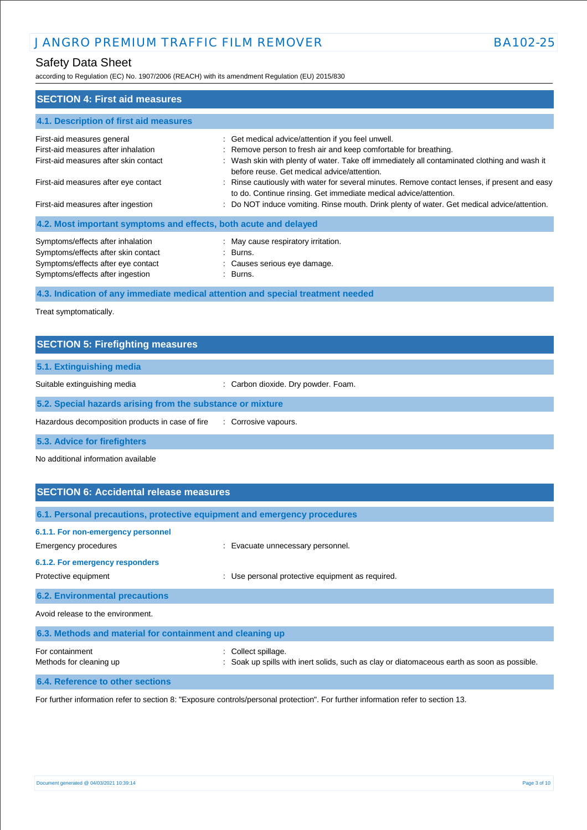# Safety Data Sheet

according to Regulation (EC) No. 1907/2006 (REACH) with its amendment Regulation (EU) 2015/830

| <b>SECTION 4: First aid measures</b>                                                                                                               |                                                                                                                                                                                                                                                                       |
|----------------------------------------------------------------------------------------------------------------------------------------------------|-----------------------------------------------------------------------------------------------------------------------------------------------------------------------------------------------------------------------------------------------------------------------|
| 4.1. Description of first aid measures                                                                                                             |                                                                                                                                                                                                                                                                       |
| First-aid measures general<br>First-aid measures after inhalation<br>First-aid measures after skin contact                                         | : Get medical advice/attention if you feel unwell.<br>: Remove person to fresh air and keep comfortable for breathing.<br>: Wash skin with plenty of water. Take off immediately all contaminated clothing and wash it<br>before reuse. Get medical advice/attention. |
| First-aid measures after eye contact<br>First-aid measures after ingestion                                                                         | : Rinse cautiously with water for several minutes. Remove contact lenses, if present and easy<br>to do. Continue rinsing. Get immediate medical advice/attention.<br>: Do NOT induce vomiting. Rinse mouth. Drink plenty of water. Get medical advice/attention.      |
| 4.2. Most important symptoms and effects, both acute and delayed                                                                                   |                                                                                                                                                                                                                                                                       |
| Symptoms/effects after inhalation<br>Symptoms/effects after skin contact<br>Symptoms/effects after eye contact<br>Symptoms/effects after ingestion | : May cause respiratory irritation.<br>: Burns.<br>: Causes serious eye damage.<br>: Burns.                                                                                                                                                                           |
| 4.3. Indication of any immediate medical attention and special treatment needed                                                                    |                                                                                                                                                                                                                                                                       |

Treat symptomatically.

| <b>SECTION 5: Firefighting measures</b>                    |                                     |
|------------------------------------------------------------|-------------------------------------|
| 5.1. Extinguishing media                                   |                                     |
| Suitable extinguishing media                               | : Carbon dioxide. Dry powder. Foam. |
| 5.2. Special hazards arising from the substance or mixture |                                     |
| Hazardous decomposition products in case of fire           | : Corrosive vapours.                |
| 5.3. Advice for firefighters                               |                                     |

No additional information available

| <b>SECTION 6: Accidental release measures</b>                                                                         |                                                                                                                  |
|-----------------------------------------------------------------------------------------------------------------------|------------------------------------------------------------------------------------------------------------------|
| 6.1. Personal precautions, protective equipment and emergency procedures                                              |                                                                                                                  |
| 6.1.1. For non-emergency personnel<br>Emergency procedures<br>6.1.2. For emergency responders<br>Protective equipment | : Evacuate unnecessary personnel.<br>Use personal protective equipment as required.<br>÷                         |
| <b>6.2. Environmental precautions</b>                                                                                 |                                                                                                                  |
| Avoid release to the environment.                                                                                     |                                                                                                                  |
| 6.3. Methods and material for containment and cleaning up                                                             |                                                                                                                  |
| For containment<br>Methods for cleaning up                                                                            | Collect spillage.<br>: Soak up spills with inert solids, such as clay or diatomaceous earth as soon as possible. |
| 6.4. Reference to other sections                                                                                      |                                                                                                                  |

For further information refer to section 8: "Exposure controls/personal protection". For further information refer to section 13.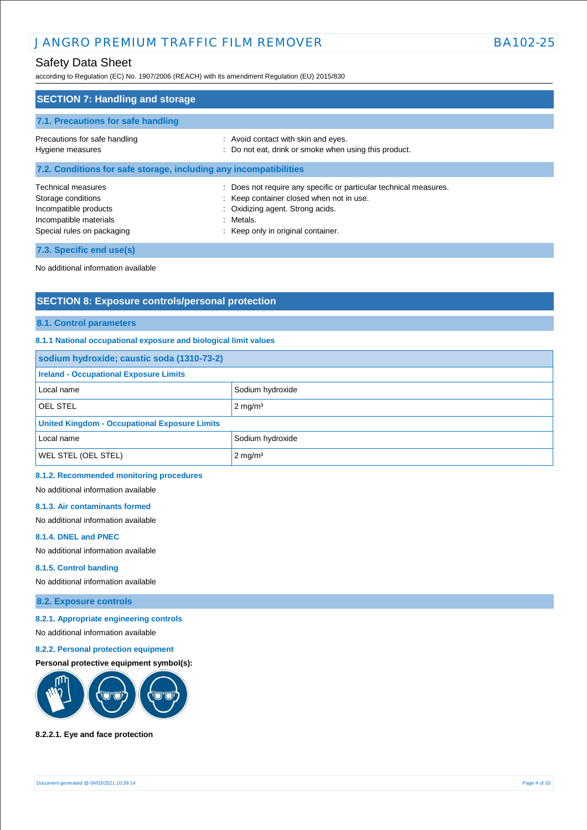# Safety Data Sheet

according to Regulation (EC) No. 1907/2006 (REACH) with its amendment Regulation (EU) 2015/830

| <b>SECTION 7: Handling and storage</b>                                                                                    |                                                                                                                                                                                                      |
|---------------------------------------------------------------------------------------------------------------------------|------------------------------------------------------------------------------------------------------------------------------------------------------------------------------------------------------|
| 7.1. Precautions for safe handling                                                                                        |                                                                                                                                                                                                      |
| Precautions for safe handling<br>Hygiene measures                                                                         | : Avoid contact with skin and eyes.<br>: Do not eat, drink or smoke when using this product.                                                                                                         |
| 7.2. Conditions for safe storage, including any incompatibilities                                                         |                                                                                                                                                                                                      |
| Technical measures<br>Storage conditions<br>Incompatible products<br>Incompatible materials<br>Special rules on packaging | : Does not require any specific or particular technical measures.<br>: Keep container closed when not in use.<br>: Oxidizing agent. Strong acids.<br>: Metals.<br>: Keep only in original container. |
| 7.3. Specific end use(s)                                                                                                  |                                                                                                                                                                                                      |

No additional information available

# **SECTION 8: Exposure controls/personal protection**

**8.1. Control parameters**

## **8.1.1 National occupational exposure and biological limit values**

| sodium hydroxide; caustic soda (1310-73-2)           |                    |  |
|------------------------------------------------------|--------------------|--|
| <b>Ireland - Occupational Exposure Limits</b>        |                    |  |
| Local name                                           | Sodium hydroxide   |  |
| <b>OEL STEL</b>                                      | $2 \text{ mg/m}^3$ |  |
| <b>United Kingdom - Occupational Exposure Limits</b> |                    |  |
| Local name                                           | Sodium hydroxide   |  |
| <b>WEL STEL (OEL STEL)</b>                           | $2 \text{ mg/m}^3$ |  |

#### **8.1.2. Recommended monitoring procedures**

No additional information available

#### **8.1.3. Air contaminants formed**

No additional information available

#### **8.1.4. DNEL and PNEC**

No additional information available

### **8.1.5. Control banding**

No additional information available

## **8.2. Exposure controls**

**8.2.1. Appropriate engineering controls** 

No additional information available

#### **8.2.2. Personal protection equipment**

### **Personal protective equipment symbol(s):**



#### **8.2.2.1. Eye and face protection**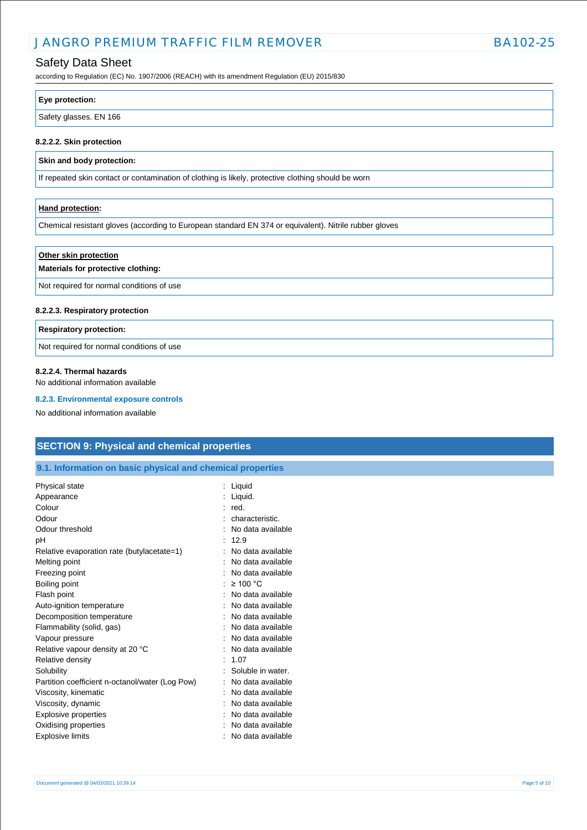## Safety Data Sheet

according to Regulation (EC) No. 1907/2006 (REACH) with its amendment Regulation (EU) 2015/830

| Eye protection:        |  |
|------------------------|--|
| Safety glasses. EN 166 |  |

#### **8.2.2.2. Skin protection**

### **Skin and body protection:**

If repeated skin contact or contamination of clothing is likely, protective clothing should be worn

### **Hand protection:**

Chemical resistant gloves (according to European standard EN 374 or equivalent). Nitrile rubber gloves

### **Other skin protection**

### **Materials for protective clothing:**

Not required for normal conditions of use

#### **8.2.2.3. Respiratory protection**

#### **Respiratory protection:**

Not required for normal conditions of use

#### **8.2.2.4. Thermal hazards**

No additional information available

#### **8.2.3. Environmental exposure controls**

No additional information available

## **SECTION 9: Physical and chemical properties**

### **9.1. Information on basic physical and chemical properties**

| Physical state                                  | Liquid            |
|-------------------------------------------------|-------------------|
| Appearance                                      | Liquid.           |
| Colour                                          | red.              |
| Odour                                           | characteristic.   |
| Odour threshold                                 | No data available |
| рH                                              | 12.9              |
| Relative evaporation rate (butylacetate=1)      | No data available |
| Melting point                                   | No data available |
| Freezing point                                  | No data available |
| Boiling point                                   | $\geq 100$ °C     |
| Flash point                                     | No data available |
| Auto-ignition temperature                       | No data available |
| Decomposition temperature                       | No data available |
| Flammability (solid, gas)                       | No data available |
| Vapour pressure                                 | No data available |
| Relative vapour density at 20 °C                | No data available |
| Relative density                                | 1.07              |
| Solubility                                      | Soluble in water. |
| Partition coefficient n-octanol/water (Log Pow) | No data available |
| Viscosity, kinematic                            | No data available |
| Viscosity, dynamic                              | No data available |
| <b>Explosive properties</b>                     | No data available |
| Oxidising properties                            | No data available |
| <b>Explosive limits</b>                         | No data available |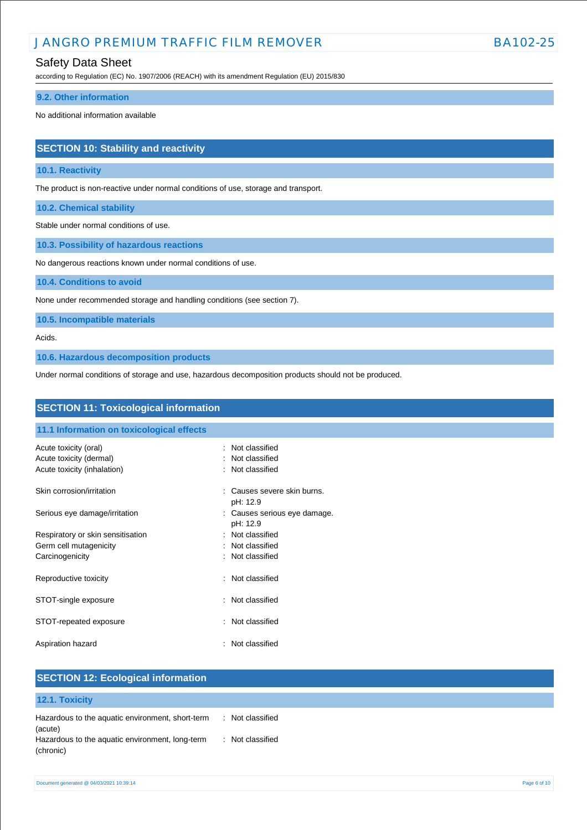## Safety Data Sheet

according to Regulation (EC) No. 1907/2006 (REACH) with its amendment Regulation (EU) 2015/830

#### **9.2. Other information**

No additional information available

# **SECTION 10: Stability and reactivity**

### **10.1. Reactivity**

The product is non-reactive under normal conditions of use, storage and transport.

**10.2. Chemical stability**

Stable under normal conditions of use.

**10.3. Possibility of hazardous reactions**

No dangerous reactions known under normal conditions of use.

**10.4. Conditions to avoid**

None under recommended storage and handling conditions (see section 7).

**10.5. Incompatible materials**

#### Acids.

**10.6. Hazardous decomposition products**

Under normal conditions of storage and use, hazardous decomposition products should not be produced.

| <b>SECTION 11: Toxicological information</b> |                                          |  |
|----------------------------------------------|------------------------------------------|--|
| 11.1 Information on toxicological effects    |                                          |  |
| Acute toxicity (oral)                        | : Not classified                         |  |
| Acute toxicity (dermal)                      | : Not classified                         |  |
| Acute toxicity (inhalation)                  | : Not classified                         |  |
| Skin corrosion/irritation                    | : Causes severe skin burns.<br>pH: 12.9  |  |
| Serious eye damage/irritation                | : Causes serious eye damage.<br>pH: 12.9 |  |
| Respiratory or skin sensitisation            | : Not classified                         |  |
| Germ cell mutagenicity                       | : Not classified                         |  |
| Carcinogenicity                              | : Not classified                         |  |
| Reproductive toxicity                        | : Not classified                         |  |
| STOT-single exposure                         | : Not classified                         |  |
| STOT-repeated exposure                       | : Not classified                         |  |
| Aspiration hazard                            | : Not classified                         |  |

| <b>SECTION 12: Ecological information</b>                    |                  |  |
|--------------------------------------------------------------|------------------|--|
| 12.1. Toxicity                                               |                  |  |
| Hazardous to the aquatic environment, short-term<br>(acute)  | : Not classified |  |
| Hazardous to the aquatic environment, long-term<br>(chronic) | : Not classified |  |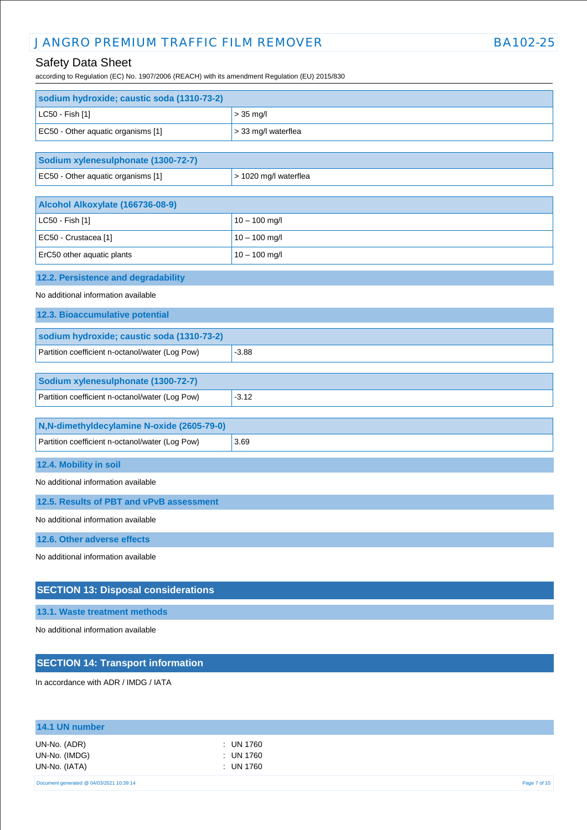# Safety Data Sheet

according to Regulation (EC) No. 1907/2006 (REACH) with its amendment Regulation (EU) 2015/830

| sodium hydroxide; caustic soda (1310-73-2)      |                       |
|-------------------------------------------------|-----------------------|
| LC50 - Fish [1]                                 | $> 35$ mg/l           |
| EC50 - Other aquatic organisms [1]              | > 33 mg/l waterflea   |
|                                                 |                       |
| Sodium xylenesulphonate (1300-72-7)             |                       |
| EC50 - Other aquatic organisms [1]              | > 1020 mg/l waterflea |
| Alcohol Alkoxylate (166736-08-9)                |                       |
| LC50 - Fish [1]                                 | $10 - 100$ mg/l       |
| EC50 - Crustacea [1]                            | $10 - 100$ mg/l       |
| ErC50 other aquatic plants                      | $10 - 100$ mg/l       |
| 12.2. Persistence and degradability             |                       |
| No additional information available             |                       |
| 12.3. Bioaccumulative potential                 |                       |
| sodium hydroxide; caustic soda (1310-73-2)      |                       |
| Partition coefficient n-octanol/water (Log Pow) | $-3.88$               |
|                                                 |                       |
| Sodium xylenesulphonate (1300-72-7)             |                       |
| Partition coefficient n-octanol/water (Log Pow) | $-3.12$               |
| N,N-dimethyldecylamine N-oxide (2605-79-0)      |                       |
| Partition coefficient n-octanol/water (Log Pow) | 3.69                  |
| 12.4. Mobility in soil                          |                       |
| No additional information available             |                       |
| 12.5. Results of PBT and vPvB assessment        |                       |
| No additional information available             |                       |
| 12.6. Other adverse effects                     |                       |
| No additional information available             |                       |
| <b>SECTION 13: Disposal considerations</b>      |                       |
| 13.1. Waste treatment methods                   |                       |

No additional information available

# **SECTION 14: Transport information**

In accordance with ADR / IMDG / IATA

| 14.1 UN number                                 |                                       |              |
|------------------------------------------------|---------------------------------------|--------------|
| UN-No. (ADR)<br>UN-No. (IMDG)<br>UN-No. (IATA) | : UN 1760<br>: UN 1760<br>$:$ UN 1760 |              |
| Document generated @ 04/03/2021 10:39:14       |                                       | Page 7 of 10 |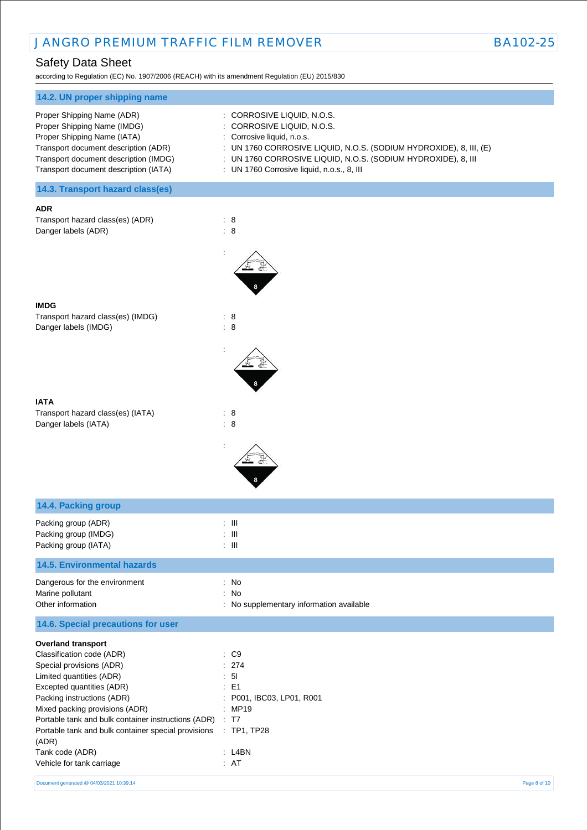# Safety Data Sheet

according to Regulation (EC) No. 1907/2006 (REACH) with its amendment Regulation (EU) 2015/830

| : CORROSIVE LIQUID, N.O.S.                                         |
|--------------------------------------------------------------------|
| : CORROSIVE LIQUID, N.O.S.                                         |
| : Corrosive liquid, n.o.s.                                         |
| : UN 1760 CORROSIVE LIQUID, N.O.S. (SODIUM HYDROXIDE), 8, III, (E) |
| : UN 1760 CORROSIVE LIQUID, N.O.S. (SODIUM HYDROXIDE), 8, III      |
| : UN 1760 Corrosive liquid, n.o.s., 8, III                         |
|                                                                    |

**14.3. Transport hazard class(es)**

#### **ADR**

Transport hazard class(es) (ADR) : 8 Danger labels (ADR) : 8



#### **IATA**

**IMDG**

Transport hazard class(es) (IATA) : 8 Danger labels (IATA) : 8



: TP1, TP28

| 14.4. Packing group                                                    |                                                                     |
|------------------------------------------------------------------------|---------------------------------------------------------------------|
| Packing group (ADR)<br>Packing group (IMDG)<br>Packing group (IATA)    | : III<br>$\therefore$ $\blacksquare$<br>$\therefore$ $\blacksquare$ |
| <b>14.5. Environmental hazards</b>                                     |                                                                     |
| Dangerous for the environment<br>Marine pollutant<br>Other information | : No<br>: No<br>: No supplementary information available            |
| 14.6. Special precautions for user                                     |                                                                     |
| <b>Overland transport</b>                                              |                                                                     |
| Classification code (ADR)                                              | $\therefore$ C9                                                     |
| Special provisions (ADR)                                               | : 274                                                               |
| Limited quantities (ADR)                                               | : 51                                                                |
| Excepted quantities (ADR)                                              | $\therefore$ E1                                                     |
| Packing instructions (ADR)                                             | : P001, IBC03, LP01, R001                                           |
| Mixed packing provisions (ADR)                                         | : MP19                                                              |

Portable tank and bulk container instructions (ADR) : T7 Portable tank and bulk container special provisions

Tank code (ADR) : L4BN : L4BN

(ADR)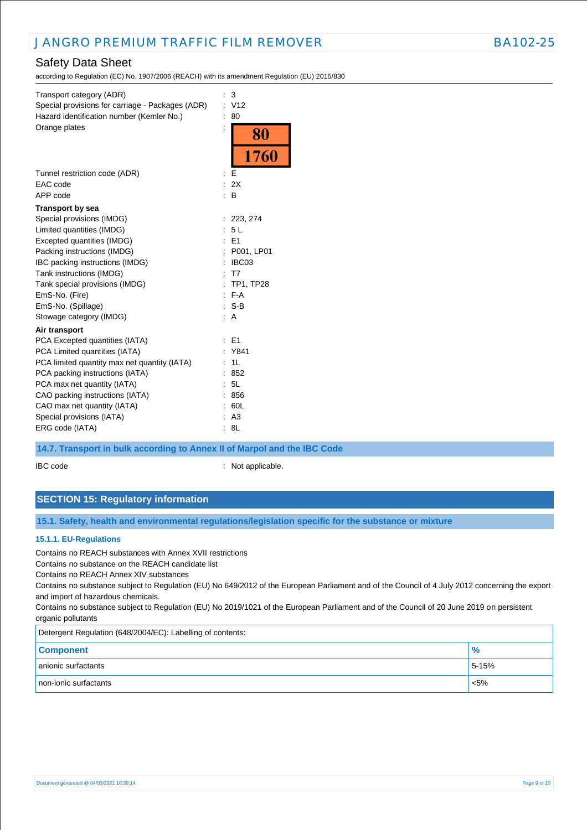# Safety Data Sheet

according to Regulation (EC) No. 1907/2006 (REACH) with its amendment Regulation (EU) 2015/830

| Transport category (ADR)<br>Special provisions for carriage - Packages (ADR)<br>Hazard identification number (Kemler No.) | ÷. | 3<br>V <sub>12</sub><br>80 |
|---------------------------------------------------------------------------------------------------------------------------|----|----------------------------|
| Orange plates                                                                                                             |    | 80                         |
|                                                                                                                           |    | 1760                       |
| Tunnel restriction code (ADR)                                                                                             |    | E                          |
| EAC code                                                                                                                  |    | : 2X                       |
| APP code                                                                                                                  |    | : B                        |
| <b>Transport by sea</b>                                                                                                   |    |                            |
| Special provisions (IMDG)                                                                                                 |    | : 223, 274                 |
| Limited quantities (IMDG)                                                                                                 |    | 5L                         |
| Excepted quantities (IMDG)                                                                                                |    | E <sub>1</sub>             |
| Packing instructions (IMDG)                                                                                               |    | P001, LP01                 |
| IBC packing instructions (IMDG)                                                                                           |    | IBC03                      |
| Tank instructions (IMDG)                                                                                                  |    | T7                         |
| Tank special provisions (IMDG)                                                                                            |    | <b>TP1, TP28</b>           |
| EmS-No. (Fire)                                                                                                            |    | $F - A$                    |
| EmS-No. (Spillage)                                                                                                        |    | $:$ S-B                    |
| Stowage category (IMDG)                                                                                                   |    | : A                        |
| Air transport                                                                                                             |    |                            |
| PCA Excepted quantities (IATA)                                                                                            |    | E1                         |
| PCA Limited quantities (IATA)                                                                                             |    | Y841                       |
| PCA limited quantity max net quantity (IATA)                                                                              |    | 1L                         |
| PCA packing instructions (IATA)                                                                                           |    | 852                        |
| PCA max net quantity (IATA)                                                                                               |    | 5L                         |
| CAO packing instructions (IATA)                                                                                           |    | 856                        |
| CAO max net quantity (IATA)                                                                                               |    | 60L                        |
| Special provisions (IATA)                                                                                                 |    | A <sub>3</sub>             |
| ERG code (IATA)                                                                                                           |    | 8L                         |

### **14.7. Transport in bulk according to Annex II of Marpol and the IBC Code**

IBC code : Not applicable.

# **SECTION 15: Regulatory information**

## **15.1. Safety, health and environmental regulations/legislation specific for the substance or mixture**

### **15.1.1. EU-Regulations**

Contains no REACH substances with Annex XVII restrictions

Contains no substance on the REACH candidate list

Contains no REACH Annex XIV substances

Contains no substance subject to Regulation (EU) No 649/2012 of the European Parliament and of the Council of 4 July 2012 concerning the export and import of hazardous chemicals.

Contains no substance subject to Regulation (EU) No 2019/1021 of the European Parliament and of the Council of 20 June 2019 on persistent organic pollutants

Detergent Regulation (648/2004/EC): Labelling of contents:

| <b>Component</b>      | $\%$    |
|-----------------------|---------|
| anionic surfactants   | 5-15%   |
| non-ionic surfactants | $< 5\%$ |